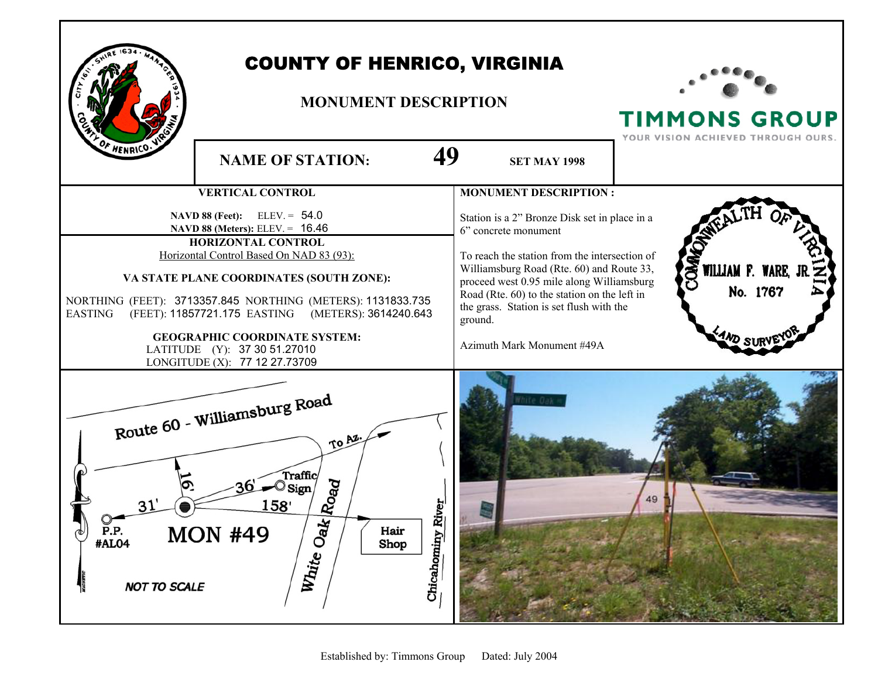

## COUNTY OF HENRICO, VIRGINIA

## **MONUMENT DESCRIPTION**



TIMMONS GROUP